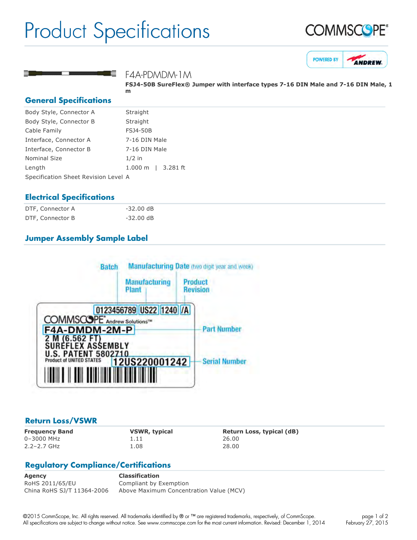# Product Specifications







### F4A-PDMDM-1M

FSJ4-50B SureFlex® Jumper with interface types 7-16 DIN Male and 7-16 DIN Male, 1 **m**

#### **General Specifications**

| Body Style, Connector A              | Straight                        |
|--------------------------------------|---------------------------------|
| Body Style, Connector B              | Straight                        |
| Cable Family                         | <b>FSJ4-50B</b>                 |
| Interface, Connector A               | 7-16 DIN Male                   |
| Interface, Connector B               | 7-16 DIN Male                   |
| <b>Nominal Size</b>                  | $1/2$ in                        |
| Length                               | $3.281$ ft<br>$1.000 \;{\rm m}$ |
| Specification Sheet Revision Level A |                                 |
|                                      |                                 |

### **Electrical Specifications**

| DTF, Connector A | $-32.00$ dB         |
|------------------|---------------------|
| DTF, Connector B | $-32.00 \text{ dB}$ |

# **Jumper Assembly Sample Label**



#### **Return Loss/VSWR**

0–3000 MHz 1.11 26.00 2.2–2.7 GHz 1.08 28.00

**Frequency Band VSWR, typical Return Loss, typical (dB)**

# **Regulatory Compliance/Certifications**

**Agency Classification** RoHS 2011/65/EU Compliant by Exemption China RoHS SJ/T 11364-2006 Above Maximum Concentration Value (MCV)

©2015 CommScope, Inc. All rights reserved. All trademarks identified by ® or ™ are registered trademarks, respectively, of CommScope. All specifications are subject to change without notice. See www.commscope.com for the most current information. Revised: December 1, 2014